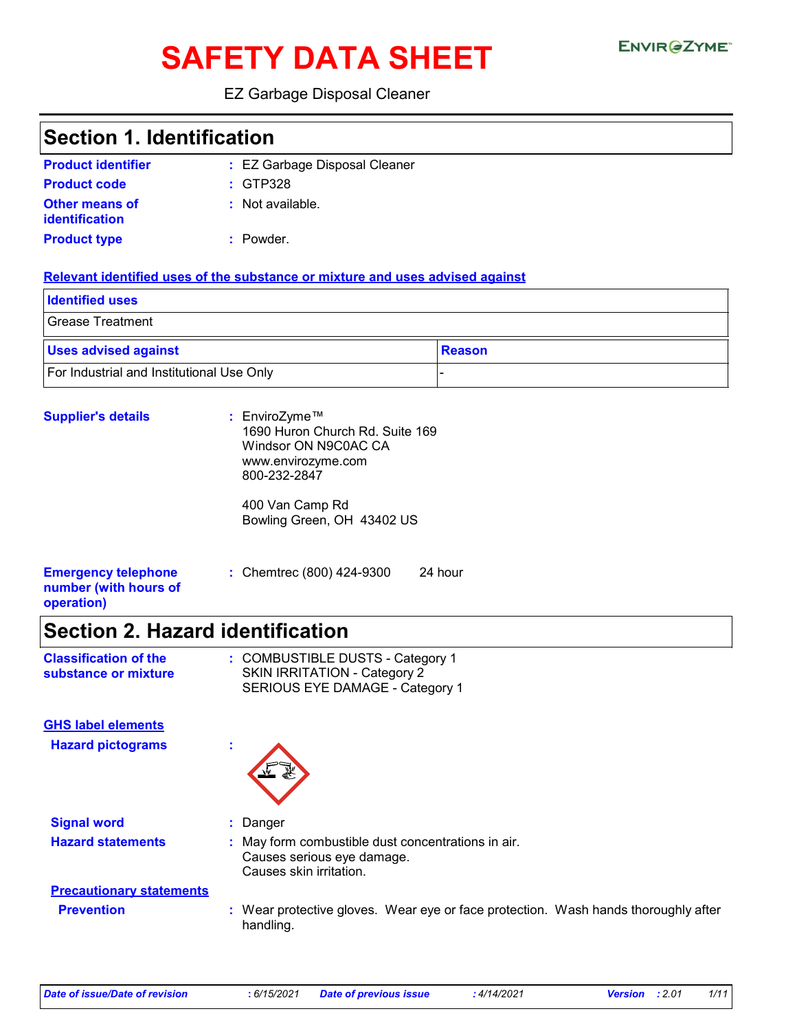# **SAFETY DATA SHEET**

#### EZ Garbage Disposal Cleaner

### **Section 1. Identification**

| <b>Product identifier</b>               | : EZ Garbage Disposal Cleaner |
|-----------------------------------------|-------------------------------|
| <b>Product code</b>                     | $:$ GTP328                    |
| Other means of<br><b>identification</b> | : Not available.              |
| <b>Product type</b>                     | : Powder.                     |

#### **Relevant identified uses of the substance or mixture and uses advised against**

| <b>Identified uses</b>                    |        |
|-------------------------------------------|--------|
| <b>Grease Treatment</b>                   |        |
| <b>Uses advised against</b>               | Reason |
| For Industrial and Institutional Use Only |        |

| <b>Supplier's details</b>                                         | : EnviroZyme™<br>1690 Huron Church Rd. Suite 169<br>Windsor ON N9C0AC CA<br>www.envirozyme.com<br>800-232-2847 |  |
|-------------------------------------------------------------------|----------------------------------------------------------------------------------------------------------------|--|
|                                                                   | 400 Van Camp Rd<br>Bowling Green, OH 43402 US                                                                  |  |
| <b>Emergency telephone</b><br>number (with hours of<br>operation) | : Chemtrec (800) 424-9300<br>24 hour                                                                           |  |

# **Section 2. Hazard identification**

| <b>Classification of the</b> | : COMBUSTIBLE DUSTS - Category 1 |
|------------------------------|----------------------------------|
| substance or mixture         | SKIN IRRITATION - Category 2     |
|                              | SERIOUS EYE DAMAGE - Category 1  |

**GHS label elements**

**Hazard pictograms :**



**Signal word :** Danger

**Hazard statements :** May form combustible dust concentrations in air. Causes serious eye damage. Causes skin irritation.

# **Precautionary statements**

**Prevention :** Wear protective gloves. Wear eye or face protection. Wash hands thoroughly after handling.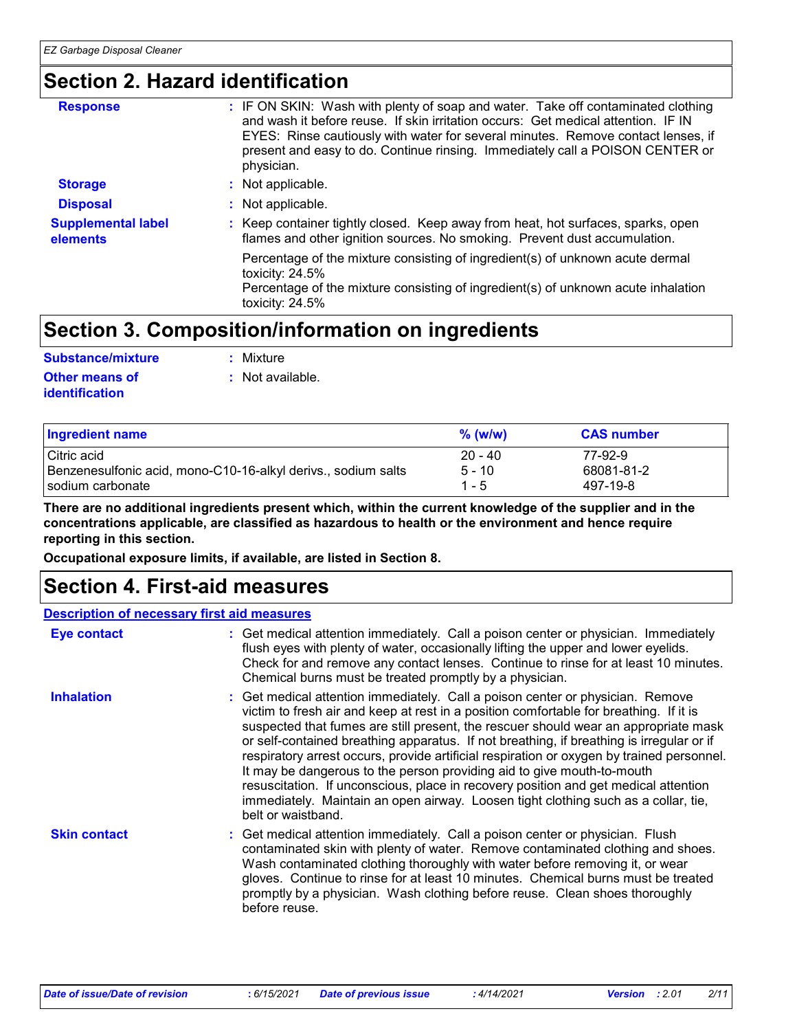### **Section 2. Hazard identification**

| <b>Response</b>                       | : IF ON SKIN: Wash with plenty of soap and water. Take off contaminated clothing<br>and wash it before reuse. If skin irritation occurs: Get medical attention. IF IN<br>EYES: Rinse cautiously with water for several minutes. Remove contact lenses, if<br>present and easy to do. Continue rinsing. Immediately call a POISON CENTER or<br>physician. |
|---------------------------------------|----------------------------------------------------------------------------------------------------------------------------------------------------------------------------------------------------------------------------------------------------------------------------------------------------------------------------------------------------------|
| <b>Storage</b>                        | : Not applicable.                                                                                                                                                                                                                                                                                                                                        |
| <b>Disposal</b>                       | : Not applicable.                                                                                                                                                                                                                                                                                                                                        |
| <b>Supplemental label</b><br>elements | : Keep container tightly closed. Keep away from heat, hot surfaces, sparks, open<br>flames and other ignition sources. No smoking. Prevent dust accumulation.                                                                                                                                                                                            |
|                                       | Percentage of the mixture consisting of ingredient(s) of unknown acute dermal<br>toxicity: $24.5\%$<br>Percentage of the mixture consisting of ingredient(s) of unknown acute inhalation<br>toxicity: 24.5%                                                                                                                                              |

### **Section 3. Composition/information on ingredients**

| Substance/mixture                       | : Mixture          |
|-----------------------------------------|--------------------|
| <b>Other means of</b><br>identification | $:$ Not available. |

| <b>Ingredient name</b>                                        | $%$ (w/w) | <b>CAS number</b> |
|---------------------------------------------------------------|-----------|-------------------|
| Citric acid                                                   | $20 - 40$ | 77-92-9           |
| Benzenesulfonic acid, mono-C10-16-alkyl derivs., sodium salts | $5 - 10$  | 68081-81-2        |
| sodium carbonate                                              | $1 - 5$   | 497-19-8          |

**There are no additional ingredients present which, within the current knowledge of the supplier and in the concentrations applicable, are classified as hazardous to health or the environment and hence require reporting in this section.**

**Occupational exposure limits, if available, are listed in Section 8.**

### **Section 4. First-aid measures**

#### **Description of necessary first aid measures**

| <b>Eye contact</b>  | : Get medical attention immediately. Call a poison center or physician. Immediately<br>flush eyes with plenty of water, occasionally lifting the upper and lower eyelids.<br>Check for and remove any contact lenses. Continue to rinse for at least 10 minutes.<br>Chemical burns must be treated promptly by a physician.                                                                                                                                                                                                                                                                                                                                                                                                           |
|---------------------|---------------------------------------------------------------------------------------------------------------------------------------------------------------------------------------------------------------------------------------------------------------------------------------------------------------------------------------------------------------------------------------------------------------------------------------------------------------------------------------------------------------------------------------------------------------------------------------------------------------------------------------------------------------------------------------------------------------------------------------|
| <b>Inhalation</b>   | : Get medical attention immediately. Call a poison center or physician. Remove<br>victim to fresh air and keep at rest in a position comfortable for breathing. If it is<br>suspected that fumes are still present, the rescuer should wear an appropriate mask<br>or self-contained breathing apparatus. If not breathing, if breathing is irregular or if<br>respiratory arrest occurs, provide artificial respiration or oxygen by trained personnel.<br>It may be dangerous to the person providing aid to give mouth-to-mouth<br>resuscitation. If unconscious, place in recovery position and get medical attention<br>immediately. Maintain an open airway. Loosen tight clothing such as a collar, tie,<br>belt or waistband. |
| <b>Skin contact</b> | : Get medical attention immediately. Call a poison center or physician. Flush<br>contaminated skin with plenty of water. Remove contaminated clothing and shoes.<br>Wash contaminated clothing thoroughly with water before removing it, or wear<br>gloves. Continue to rinse for at least 10 minutes. Chemical burns must be treated<br>promptly by a physician. Wash clothing before reuse. Clean shoes thoroughly<br>before reuse.                                                                                                                                                                                                                                                                                                 |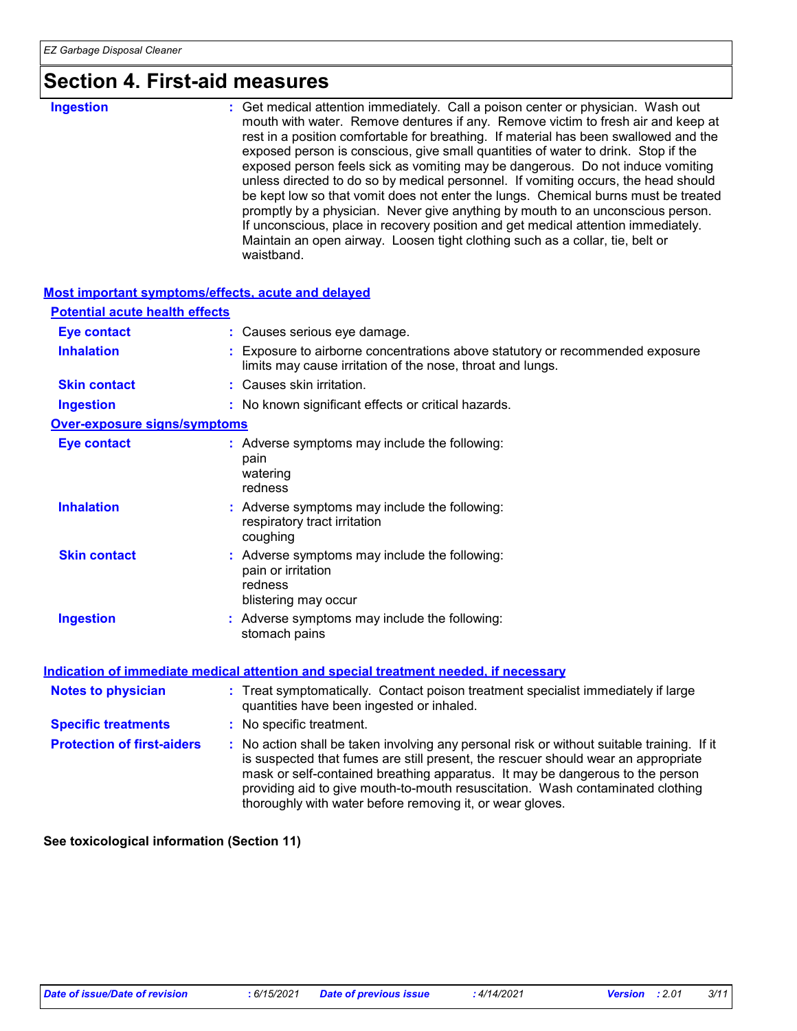### **Section 4. First-aid measures**

| <b>Ingestion</b> | : Get medical attention immediately. Call a poison center or physician. Wash out     |
|------------------|--------------------------------------------------------------------------------------|
|                  | mouth with water. Remove dentures if any. Remove victim to fresh air and keep at     |
|                  | rest in a position comfortable for breathing. If material has been swallowed and the |
|                  | exposed person is conscious, give small quantities of water to drink. Stop if the    |
|                  | exposed person feels sick as vomiting may be dangerous. Do not induce vomiting       |
|                  | unless directed to do so by medical personnel. If vomiting occurs, the head should   |
|                  | be kept low so that vomit does not enter the lungs. Chemical burns must be treated   |
|                  | promptly by a physician. Never give anything by mouth to an unconscious person.      |
|                  | If unconscious, place in recovery position and get medical attention immediately.    |
|                  | Maintain an open airway. Loosen tight clothing such as a collar, tie, belt or        |
|                  | waistband.                                                                           |

| <b>Most important symptoms/effects, acute and delayed</b> |                                                                                                                                                                                                                                                                                                                                                                                                                 |
|-----------------------------------------------------------|-----------------------------------------------------------------------------------------------------------------------------------------------------------------------------------------------------------------------------------------------------------------------------------------------------------------------------------------------------------------------------------------------------------------|
| <b>Potential acute health effects</b>                     |                                                                                                                                                                                                                                                                                                                                                                                                                 |
| <b>Eye contact</b>                                        | : Causes serious eye damage.                                                                                                                                                                                                                                                                                                                                                                                    |
| <b>Inhalation</b>                                         | : Exposure to airborne concentrations above statutory or recommended exposure<br>limits may cause irritation of the nose, throat and lungs.                                                                                                                                                                                                                                                                     |
| <b>Skin contact</b>                                       | : Causes skin irritation.                                                                                                                                                                                                                                                                                                                                                                                       |
| <b>Ingestion</b>                                          | : No known significant effects or critical hazards.                                                                                                                                                                                                                                                                                                                                                             |
| <b>Over-exposure signs/symptoms</b>                       |                                                                                                                                                                                                                                                                                                                                                                                                                 |
| <b>Eye contact</b>                                        | : Adverse symptoms may include the following:<br>pain<br>watering<br>redness                                                                                                                                                                                                                                                                                                                                    |
| <b>Inhalation</b>                                         | : Adverse symptoms may include the following:<br>respiratory tract irritation<br>coughing                                                                                                                                                                                                                                                                                                                       |
| <b>Skin contact</b>                                       | : Adverse symptoms may include the following:<br>pain or irritation<br>redness<br>blistering may occur                                                                                                                                                                                                                                                                                                          |
| <b>Ingestion</b>                                          | : Adverse symptoms may include the following:<br>stomach pains                                                                                                                                                                                                                                                                                                                                                  |
|                                                           | Indication of immediate medical attention and special treatment needed, if necessary                                                                                                                                                                                                                                                                                                                            |
| <b>Notes to physician</b>                                 | : Treat symptomatically. Contact poison treatment specialist immediately if large<br>quantities have been ingested or inhaled.                                                                                                                                                                                                                                                                                  |
| <b>Specific treatments</b>                                | : No specific treatment.                                                                                                                                                                                                                                                                                                                                                                                        |
| <b>Protection of first-aiders</b>                         | : No action shall be taken involving any personal risk or without suitable training. If it<br>is suspected that fumes are still present, the rescuer should wear an appropriate<br>mask or self-contained breathing apparatus. It may be dangerous to the person<br>providing aid to give mouth-to-mouth resuscitation. Wash contaminated clothing<br>thoroughly with water before removing it, or wear gloves. |

**See toxicological information (Section 11)**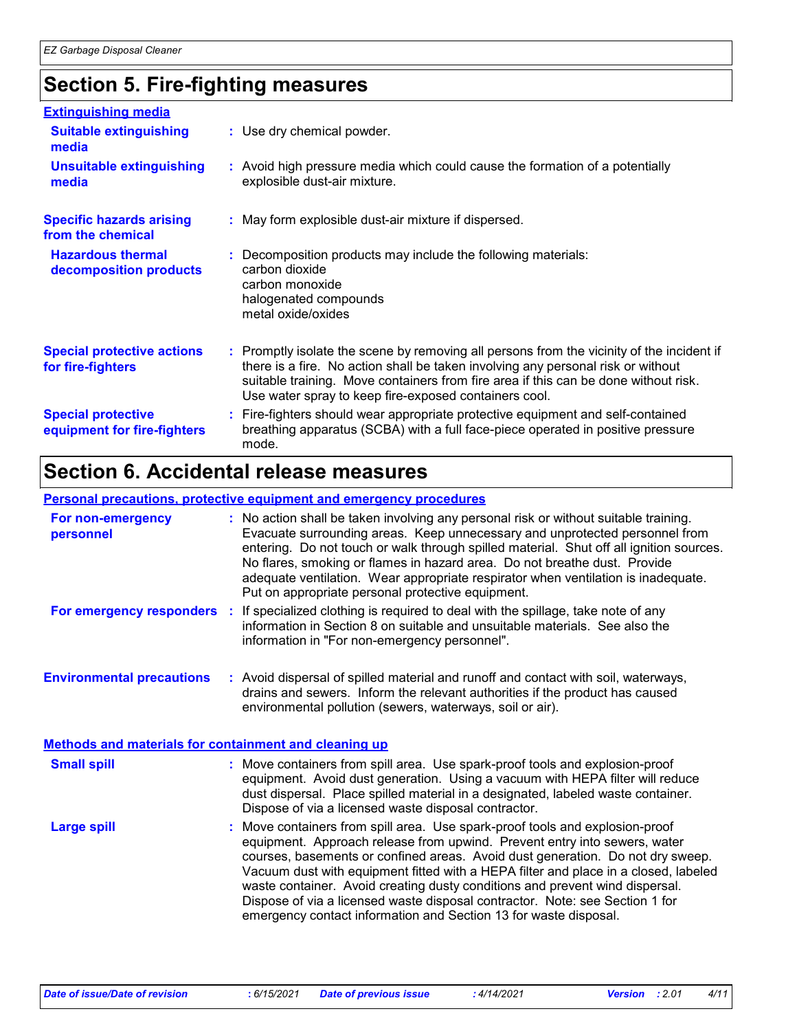# **Section 5. Fire-fighting measures**

| <b>Extinguishing media</b>                               |                                                                                                                                                                                                                                                                                                                               |
|----------------------------------------------------------|-------------------------------------------------------------------------------------------------------------------------------------------------------------------------------------------------------------------------------------------------------------------------------------------------------------------------------|
| <b>Suitable extinguishing</b><br>media                   | : Use dry chemical powder.                                                                                                                                                                                                                                                                                                    |
| <b>Unsuitable extinguishing</b><br>media                 | : Avoid high pressure media which could cause the formation of a potentially<br>explosible dust-air mixture.                                                                                                                                                                                                                  |
| <b>Specific hazards arising</b><br>from the chemical     | : May form explosible dust-air mixture if dispersed.                                                                                                                                                                                                                                                                          |
| <b>Hazardous thermal</b><br>decomposition products       | : Decomposition products may include the following materials:<br>carbon dioxide<br>carbon monoxide<br>halogenated compounds<br>metal oxide/oxides                                                                                                                                                                             |
| <b>Special protective actions</b><br>for fire-fighters   | : Promptly isolate the scene by removing all persons from the vicinity of the incident if<br>there is a fire. No action shall be taken involving any personal risk or without<br>suitable training. Move containers from fire area if this can be done without risk.<br>Use water spray to keep fire-exposed containers cool. |
| <b>Special protective</b><br>equipment for fire-fighters | : Fire-fighters should wear appropriate protective equipment and self-contained<br>breathing apparatus (SCBA) with a full face-piece operated in positive pressure<br>mode.                                                                                                                                                   |

### **Section 6. Accidental release measures**

#### **Personal precautions, protective equipment and emergency procedures**

| For non-emergency<br>personnel                        | : No action shall be taken involving any personal risk or without suitable training.<br>Evacuate surrounding areas. Keep unnecessary and unprotected personnel from<br>entering. Do not touch or walk through spilled material. Shut off all ignition sources.<br>No flares, smoking or flames in hazard area. Do not breathe dust. Provide<br>adequate ventilation. Wear appropriate respirator when ventilation is inadequate.<br>Put on appropriate personal protective equipment.                                                                                  |
|-------------------------------------------------------|------------------------------------------------------------------------------------------------------------------------------------------------------------------------------------------------------------------------------------------------------------------------------------------------------------------------------------------------------------------------------------------------------------------------------------------------------------------------------------------------------------------------------------------------------------------------|
|                                                       | For emergency responders : If specialized clothing is required to deal with the spillage, take note of any<br>information in Section 8 on suitable and unsuitable materials. See also the<br>information in "For non-emergency personnel".                                                                                                                                                                                                                                                                                                                             |
| <b>Environmental precautions</b>                      | : Avoid dispersal of spilled material and runoff and contact with soil, waterways,<br>drains and sewers. Inform the relevant authorities if the product has caused<br>environmental pollution (sewers, waterways, soil or air).                                                                                                                                                                                                                                                                                                                                        |
| Methods and materials for containment and cleaning up |                                                                                                                                                                                                                                                                                                                                                                                                                                                                                                                                                                        |
| <b>Small spill</b>                                    | : Move containers from spill area. Use spark-proof tools and explosion-proof<br>equipment. Avoid dust generation. Using a vacuum with HEPA filter will reduce<br>dust dispersal. Place spilled material in a designated, labeled waste container.<br>Dispose of via a licensed waste disposal contractor.                                                                                                                                                                                                                                                              |
| <b>Large spill</b>                                    | : Move containers from spill area. Use spark-proof tools and explosion-proof<br>equipment. Approach release from upwind. Prevent entry into sewers, water<br>courses, basements or confined areas. Avoid dust generation. Do not dry sweep.<br>Vacuum dust with equipment fitted with a HEPA filter and place in a closed, labeled<br>waste container. Avoid creating dusty conditions and prevent wind dispersal.<br>Dispose of via a licensed waste disposal contractor. Note: see Section 1 for<br>emergency contact information and Section 13 for waste disposal. |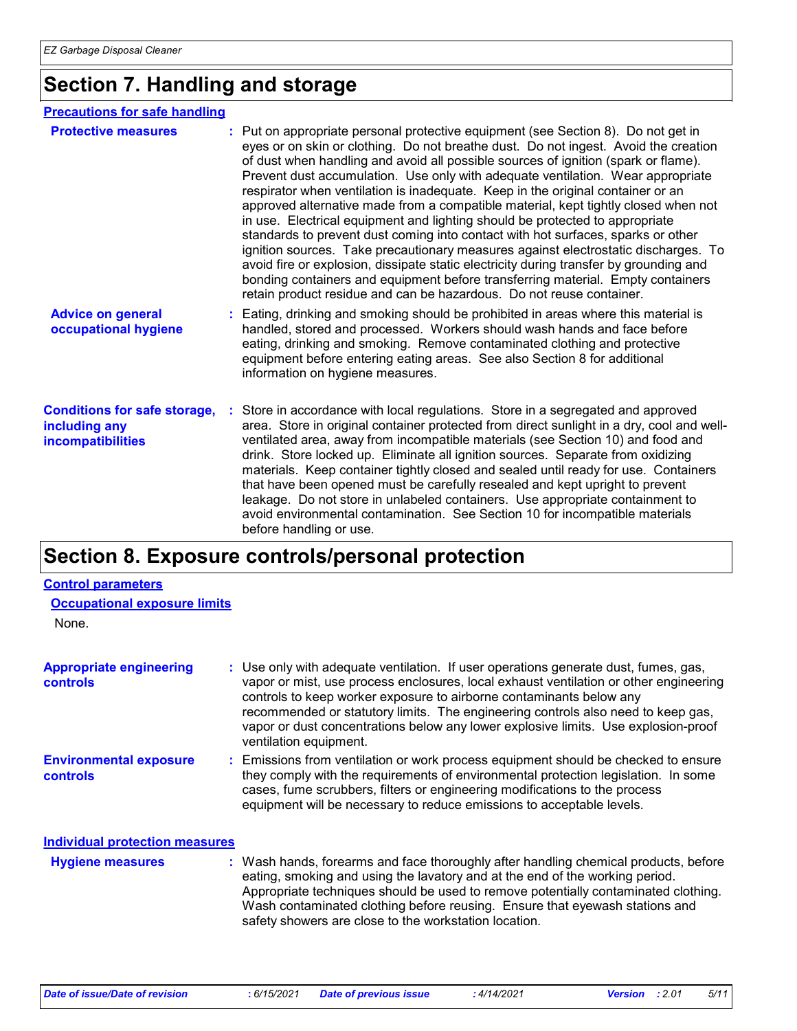## **Section 7. Handling and storage**

#### **Precautions for safe handling**

| <b>Protective measures</b>                                                       | : Put on appropriate personal protective equipment (see Section 8). Do not get in<br>eyes or on skin or clothing. Do not breathe dust. Do not ingest. Avoid the creation<br>of dust when handling and avoid all possible sources of ignition (spark or flame).<br>Prevent dust accumulation. Use only with adequate ventilation. Wear appropriate<br>respirator when ventilation is inadequate. Keep in the original container or an<br>approved alternative made from a compatible material, kept tightly closed when not<br>in use. Electrical equipment and lighting should be protected to appropriate<br>standards to prevent dust coming into contact with hot surfaces, sparks or other<br>ignition sources. Take precautionary measures against electrostatic discharges. To<br>avoid fire or explosion, dissipate static electricity during transfer by grounding and<br>bonding containers and equipment before transferring material. Empty containers<br>retain product residue and can be hazardous. Do not reuse container. |  |
|----------------------------------------------------------------------------------|-------------------------------------------------------------------------------------------------------------------------------------------------------------------------------------------------------------------------------------------------------------------------------------------------------------------------------------------------------------------------------------------------------------------------------------------------------------------------------------------------------------------------------------------------------------------------------------------------------------------------------------------------------------------------------------------------------------------------------------------------------------------------------------------------------------------------------------------------------------------------------------------------------------------------------------------------------------------------------------------------------------------------------------------|--|
| <b>Advice on general</b><br>occupational hygiene                                 | : Eating, drinking and smoking should be prohibited in areas where this material is<br>handled, stored and processed. Workers should wash hands and face before<br>eating, drinking and smoking. Remove contaminated clothing and protective<br>equipment before entering eating areas. See also Section 8 for additional<br>information on hygiene measures.                                                                                                                                                                                                                                                                                                                                                                                                                                                                                                                                                                                                                                                                             |  |
| <b>Conditions for safe storage,</b><br>including any<br><b>incompatibilities</b> | Store in accordance with local regulations. Store in a segregated and approved<br>area. Store in original container protected from direct sunlight in a dry, cool and well-<br>ventilated area, away from incompatible materials (see Section 10) and food and<br>drink. Store locked up. Eliminate all ignition sources. Separate from oxidizing<br>materials. Keep container tightly closed and sealed until ready for use. Containers<br>that have been opened must be carefully resealed and kept upright to prevent<br>leakage. Do not store in unlabeled containers. Use appropriate containment to<br>avoid environmental contamination. See Section 10 for incompatible materials<br>before handling or use.                                                                                                                                                                                                                                                                                                                      |  |

# **Section 8. Exposure controls/personal protection**

#### **Control parameters**

None.

| <b>Appropriate engineering</b><br>controls | : Use only with adequate ventilation. If user operations generate dust, fumes, gas,<br>vapor or mist, use process enclosures, local exhaust ventilation or other engineering<br>controls to keep worker exposure to airborne contaminants below any<br>recommended or statutory limits. The engineering controls also need to keep gas,<br>vapor or dust concentrations below any lower explosive limits. Use explosion-proof<br>ventilation equipment. |
|--------------------------------------------|---------------------------------------------------------------------------------------------------------------------------------------------------------------------------------------------------------------------------------------------------------------------------------------------------------------------------------------------------------------------------------------------------------------------------------------------------------|
| <b>Environmental exposure</b><br>controls  | : Emissions from ventilation or work process equipment should be checked to ensure<br>they comply with the requirements of environmental protection legislation. In some<br>cases, fume scrubbers, filters or engineering modifications to the process<br>equipment will be necessary to reduce emissions to acceptable levels.                                                                                                                         |
| <b>Individual protection measures</b>      |                                                                                                                                                                                                                                                                                                                                                                                                                                                         |
| <b>Hygiene measures</b>                    | : Wash hands, forearms and face thoroughly after handling chemical products, before                                                                                                                                                                                                                                                                                                                                                                     |

| <b>Hygiene measures</b> | : Wash hands, forearms and face thoroughly after handling chemical products, before |
|-------------------------|-------------------------------------------------------------------------------------|
|                         | eating, smoking and using the lavatory and at the end of the working period.        |
|                         | Appropriate techniques should be used to remove potentially contaminated clothing.  |
|                         | Wash contaminated clothing before reusing. Ensure that eyewash stations and         |
|                         | safety showers are close to the workstation location.                               |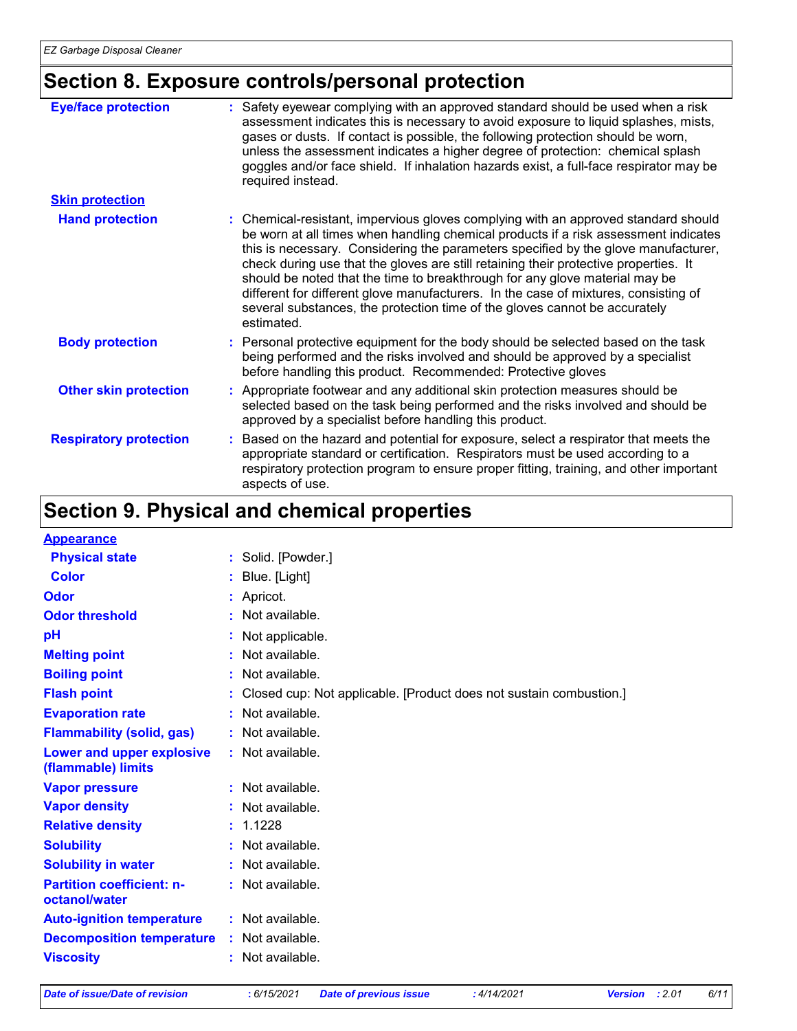# **Section 8. Exposure controls/personal protection**

| <b>Eye/face protection</b>    | : Safety eyewear complying with an approved standard should be used when a risk<br>assessment indicates this is necessary to avoid exposure to liquid splashes, mists,<br>gases or dusts. If contact is possible, the following protection should be worn,<br>unless the assessment indicates a higher degree of protection: chemical splash<br>goggles and/or face shield. If inhalation hazards exist, a full-face respirator may be<br>required instead.                                                                                                                                                               |
|-------------------------------|---------------------------------------------------------------------------------------------------------------------------------------------------------------------------------------------------------------------------------------------------------------------------------------------------------------------------------------------------------------------------------------------------------------------------------------------------------------------------------------------------------------------------------------------------------------------------------------------------------------------------|
| <b>Skin protection</b>        |                                                                                                                                                                                                                                                                                                                                                                                                                                                                                                                                                                                                                           |
| <b>Hand protection</b>        | : Chemical-resistant, impervious gloves complying with an approved standard should<br>be worn at all times when handling chemical products if a risk assessment indicates<br>this is necessary. Considering the parameters specified by the glove manufacturer,<br>check during use that the gloves are still retaining their protective properties. It<br>should be noted that the time to breakthrough for any glove material may be<br>different for different glove manufacturers. In the case of mixtures, consisting of<br>several substances, the protection time of the gloves cannot be accurately<br>estimated. |
| <b>Body protection</b>        | : Personal protective equipment for the body should be selected based on the task<br>being performed and the risks involved and should be approved by a specialist<br>before handling this product. Recommended: Protective gloves                                                                                                                                                                                                                                                                                                                                                                                        |
| <b>Other skin protection</b>  | : Appropriate footwear and any additional skin protection measures should be<br>selected based on the task being performed and the risks involved and should be<br>approved by a specialist before handling this product.                                                                                                                                                                                                                                                                                                                                                                                                 |
| <b>Respiratory protection</b> | : Based on the hazard and potential for exposure, select a respirator that meets the<br>appropriate standard or certification. Respirators must be used according to a<br>respiratory protection program to ensure proper fitting, training, and other important<br>aspects of use.                                                                                                                                                                                                                                                                                                                                       |

# **Section 9. Physical and chemical properties**

| <b>Appearance</b>                                 |                                                                    |
|---------------------------------------------------|--------------------------------------------------------------------|
| <b>Physical state</b>                             | : Solid. [Powder.]                                                 |
| Color                                             | Blue. [Light]                                                      |
| Odor                                              | : Apricot.                                                         |
| <b>Odor threshold</b>                             | : Not available.                                                   |
| рH                                                | Not applicable.                                                    |
| <b>Melting point</b>                              | : Not available.                                                   |
| <b>Boiling point</b>                              | : Not available.                                                   |
| <b>Flash point</b>                                | Closed cup: Not applicable. [Product does not sustain combustion.] |
| <b>Evaporation rate</b>                           | : Not available.                                                   |
| <b>Flammability (solid, gas)</b>                  | : Not available.                                                   |
| Lower and upper explosive<br>(flammable) limits   | $:$ Not available.                                                 |
| <b>Vapor pressure</b>                             | : Not available.                                                   |
| <b>Vapor density</b>                              | : Not available.                                                   |
| <b>Relative density</b>                           | : 1.1228                                                           |
| <b>Solubility</b>                                 | Not available.                                                     |
| <b>Solubility in water</b>                        | : Not available.                                                   |
| <b>Partition coefficient: n-</b><br>octanol/water | : Not available.                                                   |
| <b>Auto-ignition temperature</b>                  | : Not available.                                                   |
| <b>Decomposition temperature</b>                  | : Not available.                                                   |
| <b>Viscosity</b>                                  | : Not available.                                                   |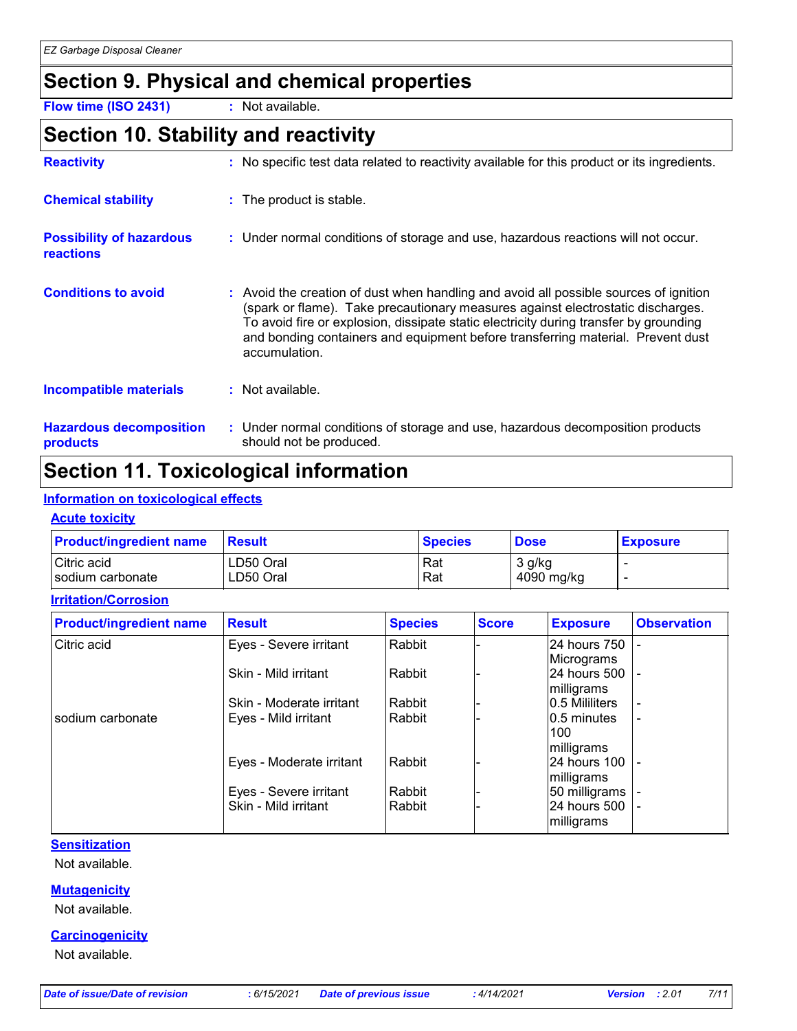### **Section 9. Physical and chemical properties**

**Flow time (ISO 2431) :** Not available.

### **Section 10. Stability and reactivity**

| <b>Reactivity</b>                            | : No specific test data related to reactivity available for this product or its ingredients.                                                                                                                                                                                                                                                                          |
|----------------------------------------------|-----------------------------------------------------------------------------------------------------------------------------------------------------------------------------------------------------------------------------------------------------------------------------------------------------------------------------------------------------------------------|
| <b>Chemical stability</b>                    | : The product is stable.                                                                                                                                                                                                                                                                                                                                              |
| <b>Possibility of hazardous</b><br>reactions | : Under normal conditions of storage and use, hazardous reactions will not occur.                                                                                                                                                                                                                                                                                     |
| <b>Conditions to avoid</b>                   | : Avoid the creation of dust when handling and avoid all possible sources of ignition<br>(spark or flame). Take precautionary measures against electrostatic discharges.<br>To avoid fire or explosion, dissipate static electricity during transfer by grounding<br>and bonding containers and equipment before transferring material. Prevent dust<br>accumulation. |
| <b>Incompatible materials</b>                | $:$ Not available.                                                                                                                                                                                                                                                                                                                                                    |
| <b>Hazardous decomposition</b><br>products   | : Under normal conditions of storage and use, hazardous decomposition products<br>should not be produced.                                                                                                                                                                                                                                                             |

### **Section 11. Toxicological information**

#### **Information on toxicological effects**

#### **Acute toxicity**

| <b>Product/ingredient name</b> | <b>Result</b> | <b>Species</b> | <b>Dose</b> | <b>Exposure</b> |
|--------------------------------|---------------|----------------|-------------|-----------------|
| Citric acid                    | ∟D50 Oral     | Rat            | 3 g/kg      |                 |
| I sodium carbonate             | ∟D50 Oral     | Rat            | 4090 mg/kg  |                 |

**Irritation/Corrosion**

| <b>Product/ingredient name</b> | <b>Result</b>            | <b>Species</b> | <b>Score</b> | <b>Exposure</b> | <b>Observation</b> |
|--------------------------------|--------------------------|----------------|--------------|-----------------|--------------------|
| Citric acid                    | Eyes - Severe irritant   | Rabbit         |              | 24 hours 750    |                    |
|                                |                          |                |              | Micrograms      |                    |
|                                | Skin - Mild irritant     | Rabbit         |              | 24 hours 500    |                    |
|                                |                          |                |              | milligrams      |                    |
|                                | Skin - Moderate irritant | Rabbit         |              | 10.5 Mililiters |                    |
| sodium carbonate               | Eves - Mild irritant     | Rabbit         |              | 10.5 minutes    |                    |
|                                |                          |                |              | 100             |                    |
|                                |                          |                |              | milligrams      |                    |
|                                | Eyes - Moderate irritant | Rabbit         |              | 24 hours 100    |                    |
|                                |                          |                |              | milligrams      |                    |
|                                | Eyes - Severe irritant   | Rabbit         |              | 50 milligrams   |                    |
|                                | Skin - Mild irritant     | Rabbit         |              | 24 hours 500    |                    |
|                                |                          |                |              | milligrams      |                    |

#### **Sensitization**

Not available.

#### **Mutagenicity**

Not available.

#### **Carcinogenicity**

Not available.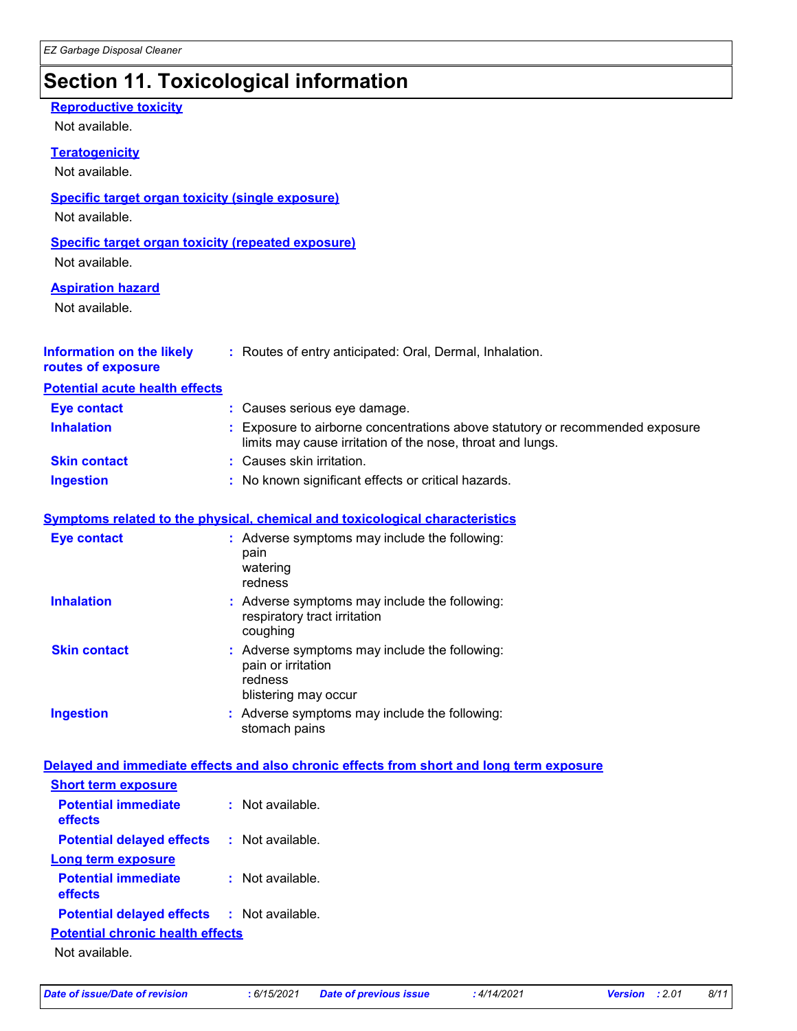# **Section 11. Toxicological information**

| <b>Reproductive toxicity</b><br>Not available.                              |                                                                                                                                             |
|-----------------------------------------------------------------------------|---------------------------------------------------------------------------------------------------------------------------------------------|
| <b>Teratogenicity</b><br>Not available.                                     |                                                                                                                                             |
| <b>Specific target organ toxicity (single exposure)</b><br>Not available.   |                                                                                                                                             |
| <b>Specific target organ toxicity (repeated exposure)</b><br>Not available. |                                                                                                                                             |
| <b>Aspiration hazard</b><br>Not available.                                  |                                                                                                                                             |
| <b>Information on the likely</b><br>routes of exposure                      | : Routes of entry anticipated: Oral, Dermal, Inhalation.                                                                                    |
| <b>Potential acute health effects</b>                                       |                                                                                                                                             |
| <b>Eye contact</b>                                                          | : Causes serious eye damage.                                                                                                                |
| <b>Inhalation</b>                                                           | : Exposure to airborne concentrations above statutory or recommended exposure<br>limits may cause irritation of the nose, throat and lungs. |
| <b>Skin contact</b>                                                         | Causes skin irritation.                                                                                                                     |
| <b>Ingestion</b>                                                            | : No known significant effects or critical hazards.                                                                                         |
|                                                                             | Symptoms related to the physical, chemical and toxicological characteristics                                                                |
| <b>Eye contact</b>                                                          | : Adverse symptoms may include the following:<br>pain<br>watering<br>redness                                                                |
| <b>Inhalation</b>                                                           | : Adverse symptoms may include the following:<br>respiratory tract irritation<br>coughing                                                   |
| <b>Skin contact</b>                                                         | Adverse symptoms may include the following:<br>pain or irritation<br>redness<br>blistering may occur                                        |
| <b>Ingestion</b>                                                            | : Adverse symptoms may include the following:<br>stomach pains                                                                              |
|                                                                             | Delayed and immediate effects and also chronic effects from short and long term exposure                                                    |
| <b>Short term exposure</b>                                                  |                                                                                                                                             |
| <b>Potential immediate</b><br>effects                                       | : Not available.                                                                                                                            |
| <b>Potential delayed effects</b>                                            | : Not available.                                                                                                                            |
| <b>Long term exposure</b>                                                   |                                                                                                                                             |
| <b>Potential immediate</b><br>effects                                       | : Not available.                                                                                                                            |
| <b>Potential delayed effects</b>                                            | : Not available.                                                                                                                            |
| <b>Potential chronic health effects</b>                                     |                                                                                                                                             |
| Not available.                                                              |                                                                                                                                             |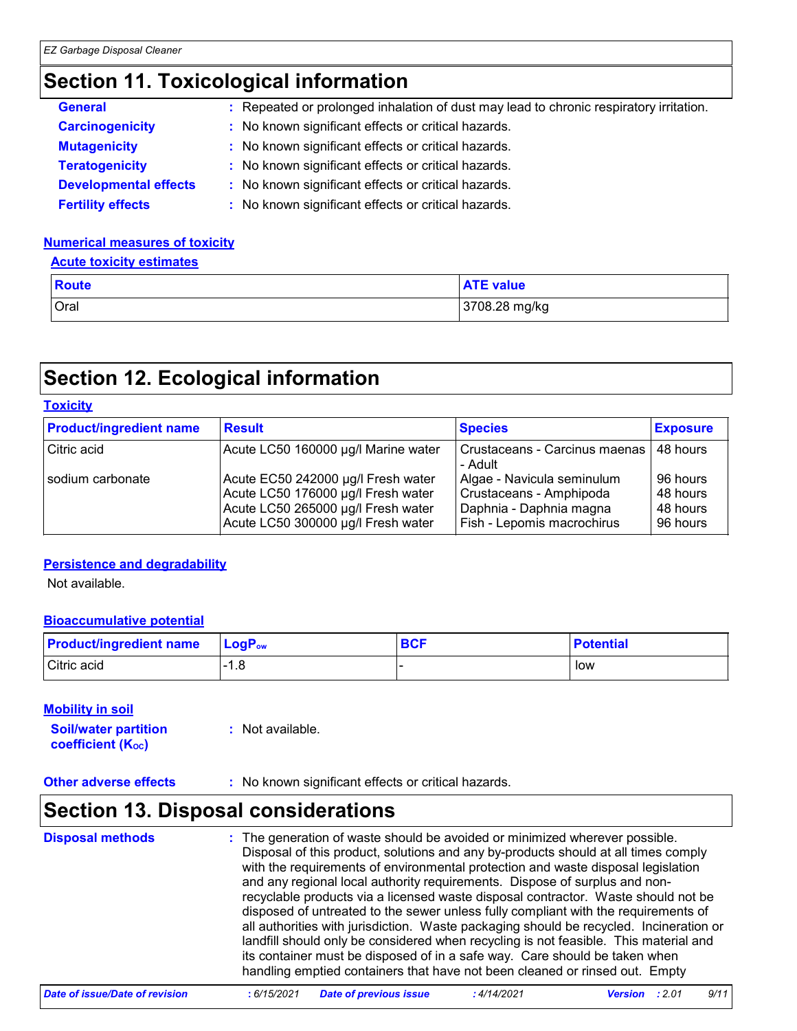### **Section 11. Toxicological information**

| <b>General</b>               | : Repeated or prolonged inhalation of dust may lead to chronic respiratory irritation. |
|------------------------------|----------------------------------------------------------------------------------------|
| <b>Carcinogenicity</b>       | : No known significant effects or critical hazards.                                    |
| <b>Mutagenicity</b>          | : No known significant effects or critical hazards.                                    |
| <b>Teratogenicity</b>        | : No known significant effects or critical hazards.                                    |
| <b>Developmental effects</b> | : No known significant effects or critical hazards.                                    |
| <b>Fertility effects</b>     | : No known significant effects or critical hazards.                                    |

#### **Numerical measures of toxicity**

#### **Acute toxicity estimates**

| <b>Route</b> | <b>ATE value</b> |
|--------------|------------------|
| Oral         | 3708.28 mg/kg    |

### **Section 12. Ecological information**

| <b>Toxicity</b>                |                                                                                                                                                      |                                                                                                                |                                              |  |
|--------------------------------|------------------------------------------------------------------------------------------------------------------------------------------------------|----------------------------------------------------------------------------------------------------------------|----------------------------------------------|--|
| <b>Product/ingredient name</b> | <b>Result</b>                                                                                                                                        | <b>Species</b>                                                                                                 | <b>Exposure</b>                              |  |
| Citric acid                    | Acute LC50 160000 µg/l Marine water                                                                                                                  | Crustaceans - Carcinus maenas  <br>- Adult                                                                     | 48 hours                                     |  |
| sodium carbonate               | Acute EC50 242000 µg/l Fresh water<br>Acute LC50 176000 µg/l Fresh water<br>Acute LC50 265000 µg/l Fresh water<br>Acute LC50 300000 µg/l Fresh water | Algae - Navicula seminulum<br>Crustaceans - Amphipoda<br>Daphnia - Daphnia magna<br>Fish - Lepomis macrochirus | 96 hours<br>48 hours<br>48 hours<br>96 hours |  |

#### **Persistence and degradability**

Not available.

#### **Bioaccumulative potential**

| <b>Product/ingredient name</b> | $\mathsf{LocP}_\mathsf{ow}$ | <b>BCF</b> | <b>Potential</b> |
|--------------------------------|-----------------------------|------------|------------------|
| Citric acid                    | ı.c                         |            | low              |

#### **Mobility in soil**

**Soil/water partition coefficient (KOC) :** Not available.

**Other adverse effects** : No known significant effects or critical hazards.

### **Section 13. Disposal considerations**

| <b>Disposal methods</b> | : The generation of waste should be avoided or minimized wherever possible.<br>Disposal of this product, solutions and any by-products should at all times comply<br>with the requirements of environmental protection and waste disposal legislation<br>and any regional local authority requirements. Dispose of surplus and non-<br>recyclable products via a licensed waste disposal contractor. Waste should not be<br>disposed of untreated to the sewer unless fully compliant with the requirements of<br>all authorities with jurisdiction. Waste packaging should be recycled. Incineration or<br>landfill should only be considered when recycling is not feasible. This material and<br>its container must be disposed of in a safe way. Care should be taken when<br>handling emptied containers that have not been cleaned or rinsed out. Empty |
|-------------------------|---------------------------------------------------------------------------------------------------------------------------------------------------------------------------------------------------------------------------------------------------------------------------------------------------------------------------------------------------------------------------------------------------------------------------------------------------------------------------------------------------------------------------------------------------------------------------------------------------------------------------------------------------------------------------------------------------------------------------------------------------------------------------------------------------------------------------------------------------------------|
|-------------------------|---------------------------------------------------------------------------------------------------------------------------------------------------------------------------------------------------------------------------------------------------------------------------------------------------------------------------------------------------------------------------------------------------------------------------------------------------------------------------------------------------------------------------------------------------------------------------------------------------------------------------------------------------------------------------------------------------------------------------------------------------------------------------------------------------------------------------------------------------------------|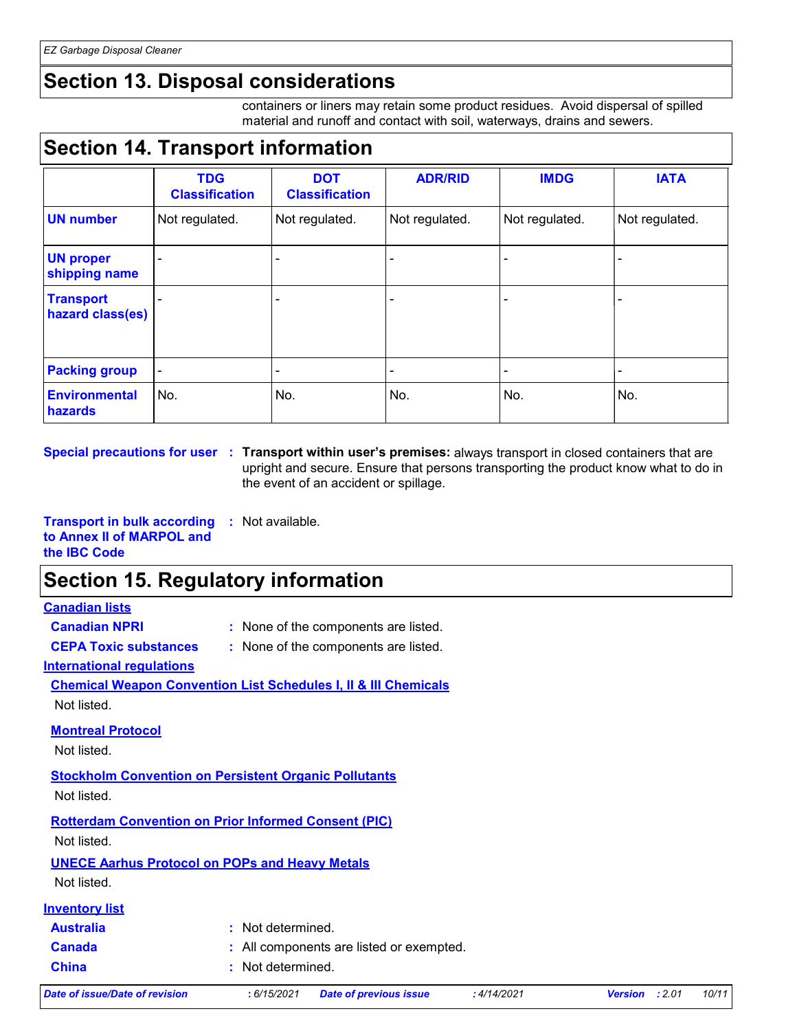### **Section 13. Disposal considerations**

containers or liners may retain some product residues. Avoid dispersal of spilled material and runoff and contact with soil, waterways, drains and sewers.

### **Section 14. Transport information**

|                                      | <b>TDG</b><br><b>Classification</b> | <b>DOT</b><br><b>Classification</b> | <b>ADR/RID</b>           | <b>IMDG</b>              | <b>IATA</b>    |
|--------------------------------------|-------------------------------------|-------------------------------------|--------------------------|--------------------------|----------------|
| <b>UN number</b>                     | Not regulated.                      | Not regulated.                      | Not regulated.           | Not regulated.           | Not regulated. |
| <b>UN proper</b><br>shipping name    |                                     |                                     |                          |                          |                |
| <b>Transport</b><br>hazard class(es) |                                     |                                     |                          |                          |                |
| <b>Packing group</b>                 | $\overline{\phantom{a}}$            | $\overline{\phantom{a}}$            | $\overline{\phantom{a}}$ | $\overline{\phantom{0}}$ |                |
| <b>Environmental</b><br>hazards      | No.                                 | No.                                 | No.                      | No.                      | No.            |

**Special precautions for user Transport within user's premises:** always transport in closed containers that are **:** upright and secure. Ensure that persons transporting the product know what to do in the event of an accident or spillage.

**Transport in bulk according to Annex II of MARPOL and the IBC Code :** Not available.

### **Section 15. Regulatory information**

#### **Canadian lists**

- **Canadian NPRI :** None of the components are listed.
- 
- **CEPA Toxic substances :** None of the components are listed.

**International regulations**

**Chemical Weapon Convention List Schedules I, II & III Chemicals** Not listed.

**Montreal Protocol**

Not listed.

**Stockholm Convention on Persistent Organic Pollutants**

Not listed.

**Rotterdam Convention on Prior Informed Consent (PIC)** Not listed.

**UNECE Aarhus Protocol on POPs and Heavy Metals**

Not listed.

| Inventorv list |  |
|----------------|--|
|                |  |

| <b>Australia</b> | : Not determined.                        |
|------------------|------------------------------------------|
| <b>Canada</b>    | : All components are listed or exempted. |
| <b>China</b>     | : Not determined.                        |